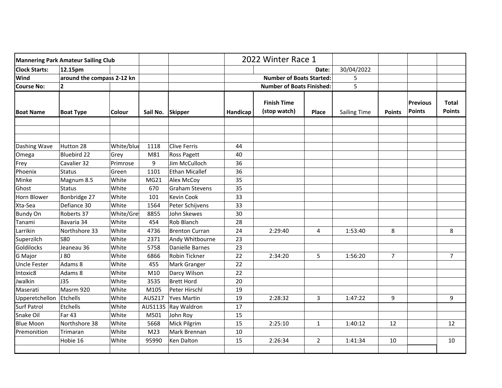| <b>Mannering Park Amateur Sailing Club</b> |                            |               |                 |                       | 2022 Winter Race 1               |                                    |                |                     |               |                                  |                               |
|--------------------------------------------|----------------------------|---------------|-----------------|-----------------------|----------------------------------|------------------------------------|----------------|---------------------|---------------|----------------------------------|-------------------------------|
| <b>Clock Starts:</b>                       | 12.15pm                    |               |                 |                       |                                  | Date:                              |                | 30/04/2022          |               |                                  |                               |
| Wind                                       | around the compass 2-12 kn |               |                 |                       | <b>Number of Boats Started:</b>  |                                    | 5              |                     |               |                                  |                               |
| <b>Course No:</b>                          | $\mathbf{2}$               |               |                 |                       | <b>Number of Boats Finished:</b> |                                    |                | 5                   |               |                                  |                               |
| <b>Boat Name</b>                           | <b>Boat Type</b>           | <b>Colour</b> | Sail No.        | <b>Skipper</b>        | Handicap                         | <b>Finish Time</b><br>(stop watch) | <b>Place</b>   | <b>Sailing Time</b> | <b>Points</b> | <b>Previous</b><br><b>Points</b> | <b>Total</b><br><b>Points</b> |
|                                            |                            |               |                 |                       |                                  |                                    |                |                     |               |                                  |                               |
| Dashing Wave                               | Hutton 28                  | White/blue    | 1118            | <b>Clive Ferris</b>   | 44                               |                                    |                |                     |               |                                  |                               |
| Omega                                      | <b>Bluebird 22</b>         | Grey          | M81             | Ross Pagett           | 40                               |                                    |                |                     |               |                                  |                               |
| Frey                                       | Cavalier 32                | Primrose      | 9               | Jim McCulloch         | 36                               |                                    |                |                     |               |                                  |                               |
| Phoenix                                    | <b>Status</b>              | Green         | 1101            | Ethan Micallef        | 36                               |                                    |                |                     |               |                                  |                               |
| Minke                                      | Magnum 8.5                 | White         | MG21            | Alex McCoy            | 35                               |                                    |                |                     |               |                                  |                               |
| Ghost                                      | <b>Status</b>              | White         | 670             | Graham Stevens        | 35                               |                                    |                |                     |               |                                  |                               |
| Horn Blower                                | Bonbridge 27               | White         | 101             | Kevin Cook            | 33                               |                                    |                |                     |               |                                  |                               |
| Xta-Sea                                    | Defiance 30                | White         | 1564            | Peter Schijvens       | 33                               |                                    |                |                     |               |                                  |                               |
| <b>Bundy On</b>                            | Roberts 37                 | White/Gre     | 8855            | John Skewes           | 30                               |                                    |                |                     |               |                                  |                               |
| Tanami                                     | Bavaria 34                 | White         | 454             | Rob Blanch            | 28                               |                                    |                |                     |               |                                  |                               |
| Larrikin                                   | Northshore 33              | White         | 4736            | <b>Brenton Curran</b> | 24                               | 2:29:40                            | 4              | 1:53:40             | 8             |                                  | 8                             |
| Superzilch                                 | <b>S80</b>                 | White         | 2371            | Andy Whitbourne       | 23                               |                                    |                |                     |               |                                  |                               |
| Goldilocks                                 | Jeaneau 36                 | White         | 5758            | Danielle Barnes       | 23                               |                                    |                |                     |               |                                  |                               |
| G Major                                    | J 80                       | White         | 6866            | Robin Tickner         | 22                               | 2:34:20                            | 5              | 1:56:20             | 7             |                                  | $\overline{7}$                |
| <b>Uncle Fester</b>                        | Adams 8                    | White         | 455             | Mark Granger          | 22                               |                                    |                |                     |               |                                  |                               |
| Intoxic8                                   | Adams 8                    | White         | M10             | Darcy Wilson          | 22                               |                                    |                |                     |               |                                  |                               |
| Jwalkin                                    | <b>J35</b>                 | White         | 3535            | <b>Brett Hord</b>     | 20                               |                                    |                |                     |               |                                  |                               |
| Maserati                                   | Masrm 920                  | White         | M105            | Peter Hirschl         | 19                               |                                    |                |                     |               |                                  |                               |
| Upperetchellon                             | Etchells                   | White         | AUS217          | <b>Yves Martin</b>    | 19                               | 2:28:32                            | 3              | 1:47:22             | 9             |                                  | 9                             |
| <b>Surf Patrol</b>                         | Etchells                   | White         |                 | AUS1135 Ray Waldron   | 17                               |                                    |                |                     |               |                                  |                               |
| Snake Oil                                  | Far 43                     | White         | M501            | John Roy              | 15                               |                                    |                |                     |               |                                  |                               |
| <b>Blue Moon</b>                           | Northshore 38              | White         | 5668            | Mick Pilgrim          | 15                               | 2:25:10                            | $\mathbf{1}$   | 1:40:12             | 12            |                                  | 12                            |
| Premonition                                | Trimaran                   | White         | M <sub>23</sub> | Mark Brennan          | 10                               |                                    |                |                     |               |                                  |                               |
|                                            | Hobie 16                   | White         | 95990           | Ken Dalton            | 15                               | 2:26:34                            | $\overline{2}$ | 1:41:34             | 10            |                                  | 10                            |